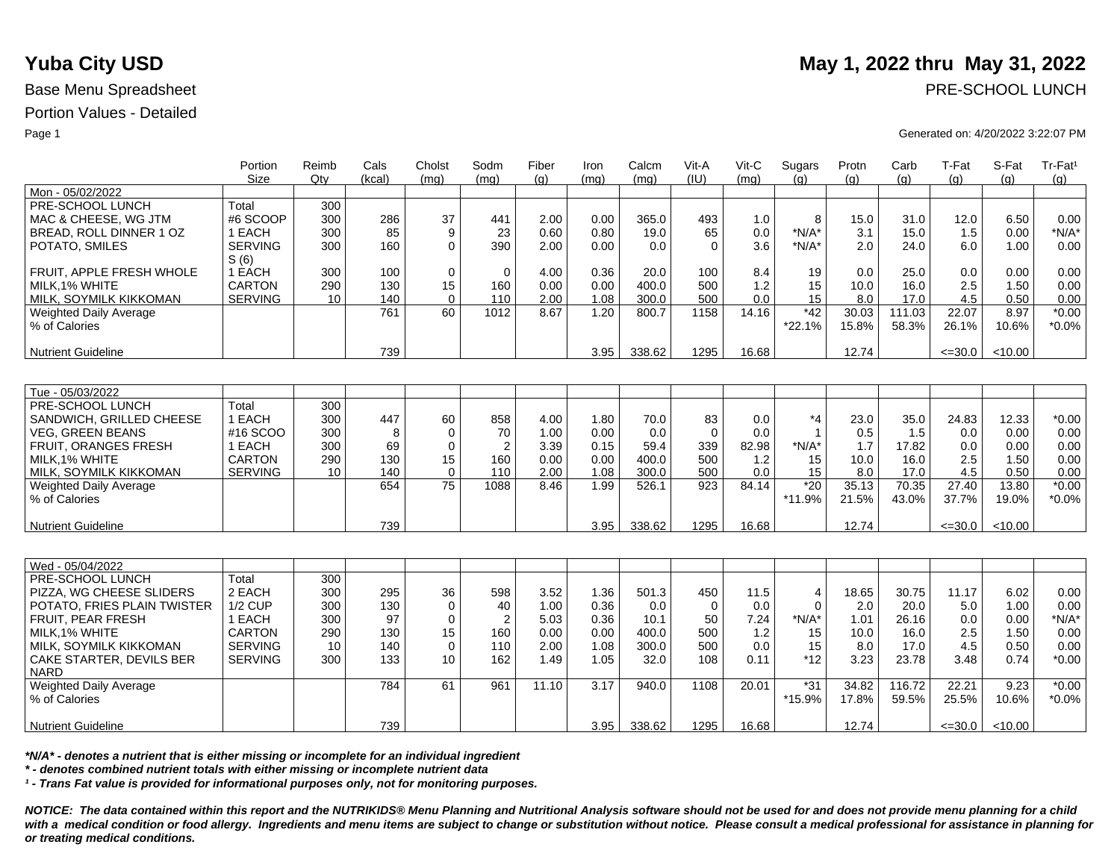|                             | Portion<br><b>Size</b> | Reimb<br>Qtv | Cals<br>(kcal) | Cholst<br>(mq)  | Sodm<br>(mq)     | Fiber<br>(g) | Iron<br>(mq) | Calcm<br>(mq) | Vit-A<br>(IU) | Vit-C<br>(mq) | Sugars<br>(q)  | Protn<br>(g) | Carb<br>(g) | T-Fat<br>(q) | S-Fat<br>(g) | Tr-Fat <sup>1</sup><br>(g) |
|-----------------------------|------------------------|--------------|----------------|-----------------|------------------|--------------|--------------|---------------|---------------|---------------|----------------|--------------|-------------|--------------|--------------|----------------------------|
| Mon - 05/02/2022            |                        |              |                |                 |                  |              |              |               |               |               |                |              |             |              |              |                            |
| PRE-SCHOOL LUNCH            | Total                  | 300          |                |                 |                  |              |              |               |               |               |                |              |             |              |              |                            |
| MAC & CHEESE, WG JTM        | #6 SCOOP               | 300          | 286            | 37              | 441              | 2.00         | 0.00         | 365.0         | 493           | 1.0           | 8              | 15.0         | 31.0        | 12.0         | 6.50         | 0.00                       |
| BREAD, ROLL DINNER 1 OZ     | 1 EACH                 | 300          | 85             | 9               | 23               | 0.60         | 0.80         | 19.0          | 65            | 0.0           | $*N/A*$        | 3.1          | 15.0        | 1.5          | 0.00         | $*N/A*$                    |
| POTATO, SMILES              | <b>SERVING</b>         | 300          | 160            | $\Omega$        | 390              | 2.00         | 0.00         | 0.0           | $\Omega$      | 3.6           | $*N/A*$        | 2.0          | 24.0        | 6.0          | 1.00         | 0.00                       |
|                             | S(6)                   |              |                |                 |                  |              |              |               |               |               |                |              |             |              |              |                            |
| FRUIT. APPLE FRESH WHOLE    | 1 EACH                 | 300          | 100            | $\mathbf 0$     | $\mathbf 0$      | 4.00         | 0.36         | 20.0          | 100           | 8.4           | 19             | 0.0          | 25.0        | 0.0          | 0.00         | 0.00                       |
| MILK, 1% WHITE              | <b>CARTON</b>          | 290          | 130            | 15              | 160              | 0.00         | 0.00         | 400.0         | 500           | 1.2           | 15             | 10.0         | 16.0        | 2.5          | 1.50         | 0.00                       |
| MILK, SOYMILK KIKKOMAN      | <b>SERVING</b>         | 10           | 140            | $\mathbf 0$     | 110              | 2.00         | 1.08         | 300.0         | 500           | 0.0           | 15             | 8.0          | 17.0        | 4.5          | 0.50         | 0.00                       |
| Weighted Daily Average      |                        |              | 761            | 60              | 1012             | 8.67         | 1.20         | 800.7         | 1158          | 14.16         | $*42$          | 30.03        | 111.03      | 22.07        | 8.97         | $*0.00$                    |
| % of Calories               |                        |              |                |                 |                  |              |              |               |               |               | *22.1%         | 15.8%        | 58.3%       | 26.1%        | 10.6%        | $*0.0\%$                   |
|                             |                        |              |                |                 |                  |              |              |               |               |               |                |              |             |              |              |                            |
| <b>Nutrient Guideline</b>   |                        |              | 739            |                 |                  |              | 3.95         | 338.62        | 1295          | 16.68         |                | 12.74        |             | $\leq 30.0$  | < 10.00      |                            |
|                             |                        |              |                |                 |                  |              |              |               |               |               |                |              |             |              |              |                            |
|                             |                        |              |                |                 |                  |              |              |               |               |               |                |              |             |              |              |                            |
| Tue - 05/03/2022            |                        |              |                |                 |                  |              |              |               |               |               |                |              |             |              |              |                            |
| PRE-SCHOOL LUNCH            | Total                  | 300          |                |                 |                  |              |              |               |               |               |                |              |             |              |              |                            |
| SANDWICH, GRILLED CHEESE    | 1 EACH                 | 300          | 447            | 60              | 858              | 4.00         | 1.80         | 70.0          | 83            | 0.0           | *4             | 23.0         | 35.0        | 24.83        | 12.33        | $*0.00$                    |
| <b>VEG. GREEN BEANS</b>     | #16 SCOO               | 300          | 8              | $\Omega$        | 70               | 1.00         | 0.00         | 0.0           | $\Omega$      | 0.0           | $\mathbf{1}$   | 0.5          | 1.5         | 0.0          | 0.00         | 0.00                       |
| <b>FRUIT, ORANGES FRESH</b> | 1 EACH                 | 300          | 69             | $\mathbf 0$     | $\overline{2}$   | 3.39         | 0.15         | 59.4          | 339           | 82.98         | $*N/A*$        | 1.7          | 17.82       | 0.0          | 0.00         | 0.00                       |
| MILK, 1% WHITE              | <b>CARTON</b>          | 290          | 130            | 15              | 160              | 0.00         | 0.00         | 400.0         | 500           | 1.2           | 15             | 10.0         | 16.0        | 2.5          | 1.50         | 0.00                       |
| MILK, SOYMILK KIKKOMAN      | <b>SERVING</b>         | 10           | 140            | $\mathbf 0$     | 110              | 2.00         | 1.08         | 300.0         | 500           | 0.0           | 15             | 8.0          | 17.0        | 4.5          | 0.50         | 0.00                       |
| Weighted Daily Average      |                        |              | 654            | 75              | 1088             | 8.46         | 1.99         | 526.1         | 923           | 84.14         | $*20$          | 35.13        | 70.35       | 27.40        | 13.80        | $*0.00$                    |
| % of Calories               |                        |              |                |                 |                  |              |              |               |               |               | *11.9%         | 21.5%        | 43.0%       | 37.7%        | 19.0%        | $*0.0\%$                   |
|                             |                        |              |                |                 |                  |              |              |               |               |               |                |              |             |              |              |                            |
| <b>Nutrient Guideline</b>   |                        |              | 739            |                 |                  |              | 3.95         | 338.62        | 1295          | 16.68         |                | 12.74        |             | $\leq$ =30.0 | < 10.00      |                            |
|                             |                        |              |                |                 |                  |              |              |               |               |               |                |              |             |              |              |                            |
|                             |                        |              |                |                 |                  |              |              |               |               |               |                |              |             |              |              |                            |
| Wed - 05/04/2022            |                        |              |                |                 |                  |              |              |               |               |               |                |              |             |              |              |                            |
| PRE-SCHOOL LUNCH            | Total                  | 300          |                |                 |                  |              |              |               |               |               |                |              |             |              |              |                            |
| PIZZA, WG CHEESE SLIDERS    | 2 EACH                 | 300          | 295            | 36              | 598              | 3.52         | 1.36         | 501.3         | 450           | 11.5          | $\overline{4}$ | 18.65        | 30.75       | 11.17        | 6.02         | 0.00                       |
| POTATO, FRIES PLAIN TWISTER | <b>1/2 CUP</b>         | 300          | 130            | $\mathbf 0$     | 40               | 1.00         | 0.36         | 0.0           | $\Omega$      | 0.0           | $\Omega$       | 2.0          | 20.0        | 5.0          | 1.00         | 0.00                       |
| FRUIT, PEAR FRESH           | 1 EACH                 | 300          | 97             | $\mathbf 0$     | $\boldsymbol{2}$ | 5.03         | 0.36         | 10.1          | 50            | 7.24          | $*N/A*$        | 1.01         | 26.16       | 0.0          | 0.00         | $*N/A*$                    |
| MILK, 1% WHITE              | <b>CARTON</b>          | 290          | 130            | 15              | 160              | 0.00         | 0.00         | 400.0         | 500           | 1.2           | 15             | 10.0         | 16.0        | 2.5          | 1.50         | 0.00                       |
| MILK, SOYMILK KIKKOMAN      | <b>SERVING</b>         | 10           | 140            | $\mathbf 0$     | 110              | 2.00         | 1.08         | 300.0         | 500           | 0.0           | 15             | 8.0          | 17.0        | 4.5          | 0.50         | 0.00                       |
| CAKE STARTER, DEVILS BER    | <b>SERVING</b>         | 300          | 133            | 10 <sup>°</sup> | 162              | 1.49         | 1.05         | 32.0          | 108           | 0.11          | $*12$          | 3.23         | 23.78       | 3.48         | 0.74         | $*0.00$                    |
| <b>NARD</b>                 |                        |              |                |                 |                  |              |              |               |               |               |                |              |             |              |              |                            |
| Weighted Daily Average      |                        |              | 784            | 61              | 961              | 11.10        | 3.17         | 940.0         | 1108          | 20.01         | $*31$          | 34.82        | 116.72      | 22.21        | 9.23         | $*0.00$                    |
| % of Calories               |                        |              |                |                 |                  |              |              |               |               |               | $*15.9%$       | 17.8%        | 59.5%       | 25.5%        | 10.6%        | $*0.0\%$                   |
|                             |                        |              |                |                 |                  |              |              |               |               |               |                |              |             |              |              |                            |
| <b>Nutrient Guideline</b>   |                        |              | 739            |                 |                  |              | 3.95         | 338.62        | 1295          | 16.68         |                | 12.74        |             | $\leq$ =30.0 | < 10.00      |                            |

*\*N/A\* - denotes a nutrient that is either missing or incomplete for an individual ingredient*

*\* - denotes combined nutrient totals with either missing or incomplete nutrient data*

*¹ - Trans Fat value is provided for informational purposes only, not for monitoring purposes.*

*NOTICE: The data contained within this report and the NUTRIKIDS® Menu Planning and Nutritional Analysis software should not be used for and does not provide menu planning for a child*  with a medical condition or food allergy. Ingredients and menu items are subject to change or substitution without notice. Please consult a medical professional for assistance in planning for *or treating medical conditions.*

# **Yuba City USD** May 1, 2022 thru May 31, 2022

Base Menu Spreadsheet **PRE-SCHOOL LUNCH** 

### Page 1 Generated on: 4/20/2022 3:22:07 PM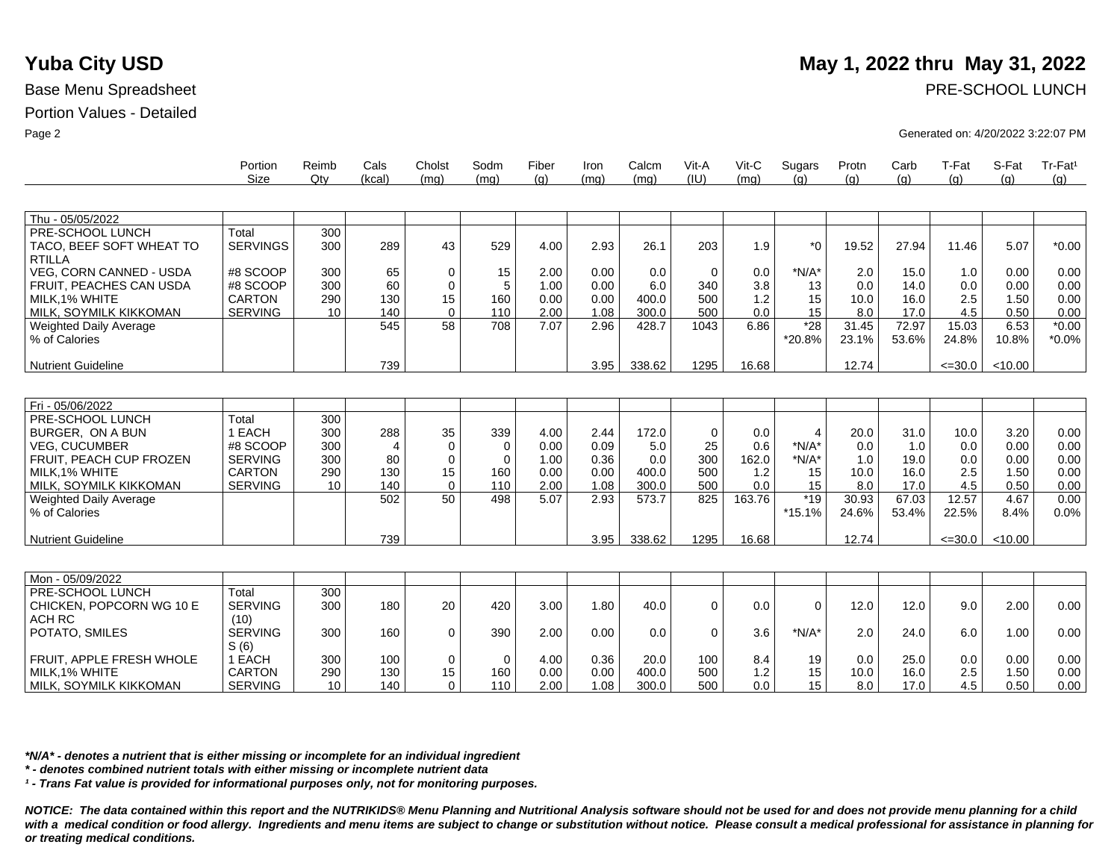|                               | Portion<br>Size | Reimb<br>Qtv | Cals<br>(kcal)        | Cholst<br>(mq) | Sodm<br>(mq) | Fiber<br>(q) | Iron<br>(mq) | Calcm<br>(mq) | Vit-A<br>(IU) | Vit-C<br>(mq) | Sugars<br>(q)  | Protn<br>(a) | Carb<br>(q) | T-Fat<br>(a) | S-Fat<br>(q) | Tr-Fat <sup>1</sup><br>(g) |
|-------------------------------|-----------------|--------------|-----------------------|----------------|--------------|--------------|--------------|---------------|---------------|---------------|----------------|--------------|-------------|--------------|--------------|----------------------------|
|                               |                 |              |                       |                |              |              |              |               |               |               |                |              |             |              |              |                            |
| Thu - 05/05/2022              |                 |              |                       |                |              |              |              |               |               |               |                |              |             |              |              |                            |
| PRE-SCHOOL LUNCH              | Total           | 300          |                       |                |              |              |              |               |               |               |                |              |             |              |              |                            |
| TACO, BEEF SOFT WHEAT TO      | <b>SERVINGS</b> | 300          | 289                   | 43             | 529          | 4.00         | 2.93         | 26.1          | 203           | 1.9           | $*_{0}$        | 19.52        | 27.94       | 11.46        | 5.07         | $*0.00$                    |
| <b>RTILLA</b>                 |                 |              |                       |                |              |              |              |               |               |               |                |              |             |              |              |                            |
| VEG, CORN CANNED - USDA       | #8 SCOOP        | 300          | 65                    | 0              | 15           | 2.00         | 0.00         | 0.0           | $\mathbf 0$   | 0.0           | $*N/A*$        | 2.0          | 15.0        | 1.0          | 0.00         | 0.00                       |
| FRUIT, PEACHES CAN USDA       | #8 SCOOP        | 300          | 60                    | $\mathbf 0$    | 5            | 1.00         | 0.00         | 6.0           | 340           | 3.8           | 13             | 0.0          | 14.0        | 0.0          | 0.00         | 0.00                       |
| MILK.1% WHITE                 | <b>CARTON</b>   | 290          | 130                   | 15             | 160          | 0.00         | 0.00         | 400.0         | 500           | 1.2           | 15             | 10.0         | 16.0        | 2.5          | 1.50         | 0.00                       |
| MILK, SOYMILK KIKKOMAN        | <b>SERVING</b>  | 10           | 140                   | $\mathbf 0$    | 110          | 2.00         | 1.08         | 300.0         | 500           | 0.0           | 15             | 8.0          | 17.0        | 4.5          | 0.50         | 0.00                       |
| <b>Weighted Daily Average</b> |                 |              | 545                   | 58             | 708          | 7.07         | 2.96         | 428.7         | 1043          | 6.86          | $*28$          | 31.45        | 72.97       | 15.03        | 6.53         | $*0.00$                    |
| % of Calories                 |                 |              |                       |                |              |              |              |               |               |               | *20.8%         | 23.1%        | 53.6%       | 24.8%        | 10.8%        | $*0.0\%$                   |
|                               |                 |              |                       |                |              |              |              |               |               |               |                |              |             |              |              |                            |
| <b>Nutrient Guideline</b>     |                 |              | 739                   |                |              |              | 3.95         | 338.62        | 1295          | 16.68         |                | 12.74        |             | $\leq 30.0$  | < 10.00      |                            |
|                               |                 |              |                       |                |              |              |              |               |               |               |                |              |             |              |              |                            |
| Fri - 05/06/2022              |                 |              |                       |                |              |              |              |               |               |               |                |              |             |              |              |                            |
| PRE-SCHOOL LUNCH              | Total           | 300          |                       |                |              |              |              |               |               |               |                |              |             |              |              |                            |
| BURGER. ON A BUN              | 1 EACH          | 300          | 288                   | 35             | 339          | 4.00         | 2.44         | 172.0         | $\mathbf 0$   | 0.0           | $\overline{4}$ | 20.0         | 31.0        | 10.0         | 3.20         | 0.00                       |
| <b>VEG. CUCUMBER</b>          | #8 SCOOP        | 300          | $\boldsymbol{\Delta}$ | $\mathbf 0$    | 0            | 0.00         | 0.09         | 5.0           | 25            | 0.6           | $*N/A*$        | 0.0          | 1.0         | 0.0          | 0.00         | 0.00                       |
| FRUIT, PEACH CUP FROZEN       | <b>SERVING</b>  | 300          | 80                    | $\Omega$       | $\Omega$     | 1.00         | 0.36         | 0.0           | 300           | 162.0         | $*N/A*$        | 1.0          | 19.0        | 0.0          | 0.00         | 0.00                       |
| MILK.1% WHITE                 | <b>CARTON</b>   | 290          | 130                   | 15             | 160          | 0.00         | 0.00         | 400.0         | 500           | 1.2           | 15             | 10.0         | 16.0        | 2.5          | 1.50         | 0.00                       |
| MILK, SOYMILK KIKKOMAN        | <b>SERVING</b>  | 10           | 140                   | $\mathbf 0$    | 110          | 2.00         | 1.08         | 300.0         | 500           | 0.0           | 15             | 8.0          | 17.0        | 4.5          | 0.50         | 0.00                       |
| <b>Weighted Daily Average</b> |                 |              | 502                   | 50             | 498          | 5.07         | 2.93         | 573.7         | 825           | 163.76        | $*19$          | 30.93        | 67.03       | 12.57        | 4.67         | 0.00                       |
| % of Calories                 |                 |              |                       |                |              |              |              |               |               |               | $*15.1%$       | 24.6%        | 53.4%       | 22.5%        | 8.4%         | 0.0%                       |
|                               |                 |              |                       |                |              |              |              |               |               |               |                |              |             |              |              |                            |
| <b>Nutrient Guideline</b>     |                 |              | 739                   |                |              |              | 3.95         | 338.62        | 1295          | 16.68         |                | 12.74        |             | $\leq 30.0$  | < 10.00      |                            |
|                               |                 |              |                       |                |              |              |              |               |               |               |                |              |             |              |              |                            |
|                               |                 |              |                       |                |              |              |              |               |               |               |                |              |             |              |              |                            |
| Mon - 05/09/2022              |                 |              |                       |                |              |              |              |               |               |               |                |              |             |              |              |                            |
| PRE-SCHOOL LUNCH              | Total           | 300          |                       |                |              |              |              |               |               |               |                |              |             |              |              |                            |
| CHICKEN, POPCORN WG 10 E      | <b>SERVING</b>  | 300          | 180                   | 20             | 420          | 3.00         | 1.80         | 40.0          | $\Omega$      | 0.0           | $\Omega$       | 12.0         | 12.0        | 9.0          | 2.00         | 0.00                       |
| <b>ACH RC</b>                 | (10)            |              |                       |                |              |              |              |               |               |               |                |              |             |              |              |                            |
| POTATO, SMILES                | <b>SERVING</b>  | 300          | 160                   | $\mathbf 0$    | 390          | 2.00         | 0.00         | 0.0           | $\Omega$      | 3.6           | $*N/A*$        | 2.0          | 24.0        | 6.0          | 1.00         | 0.00                       |
| FRUIT, APPLE FRESH WHOLE      | S(6)<br>1 EACH  | 300          | 100                   | 0              | $\mathbf 0$  | 4.00         | 0.36         | 20.0          | 100           | 8.4           | 19             | 0.0          | 25.0        | 0.0          | 0.00         | 0.00                       |
| MILK, 1% WHITE                | <b>CARTON</b>   | 290          | 130                   | 15             | 160          | 0.00         | 0.00         | 400.0         | 500           | 1.2           | 15             | 10.0         | 16.0        | 2.5          | 1.50         | 0.00                       |
| MILK, SOYMILK KIKKOMAN        | <b>SERVING</b>  | 10           | 140                   | $\Omega$       | 110          | 2.00         | 1.08         | 300.0         | 500           | 0.0           | 15             | 8.0          | 17.0        | 4.5          | 0.50         | 0.00                       |
|                               |                 |              |                       |                |              |              |              |               |               |               |                |              |             |              |              |                            |

*\*N/A\* - denotes a nutrient that is either missing or incomplete for an individual ingredient*

*\* - denotes combined nutrient totals with either missing or incomplete nutrient data*

*¹ - Trans Fat value is provided for informational purposes only, not for monitoring purposes.*

*NOTICE: The data contained within this report and the NUTRIKIDS® Menu Planning and Nutritional Analysis software should not be used for and does not provide menu planning for a child*  with a medical condition or food allergy. Ingredients and menu items are subject to change or substitution without notice. Please consult a medical professional for assistance in planning for *or treating medical conditions.*

# **Yuba City USD** May 1, 2022 thru May 31, 2022

Base Menu Spreadsheet **PRE-SCHOOL LUNCH** 

Page 2 Generated on: 4/20/2022 3:22:07 PM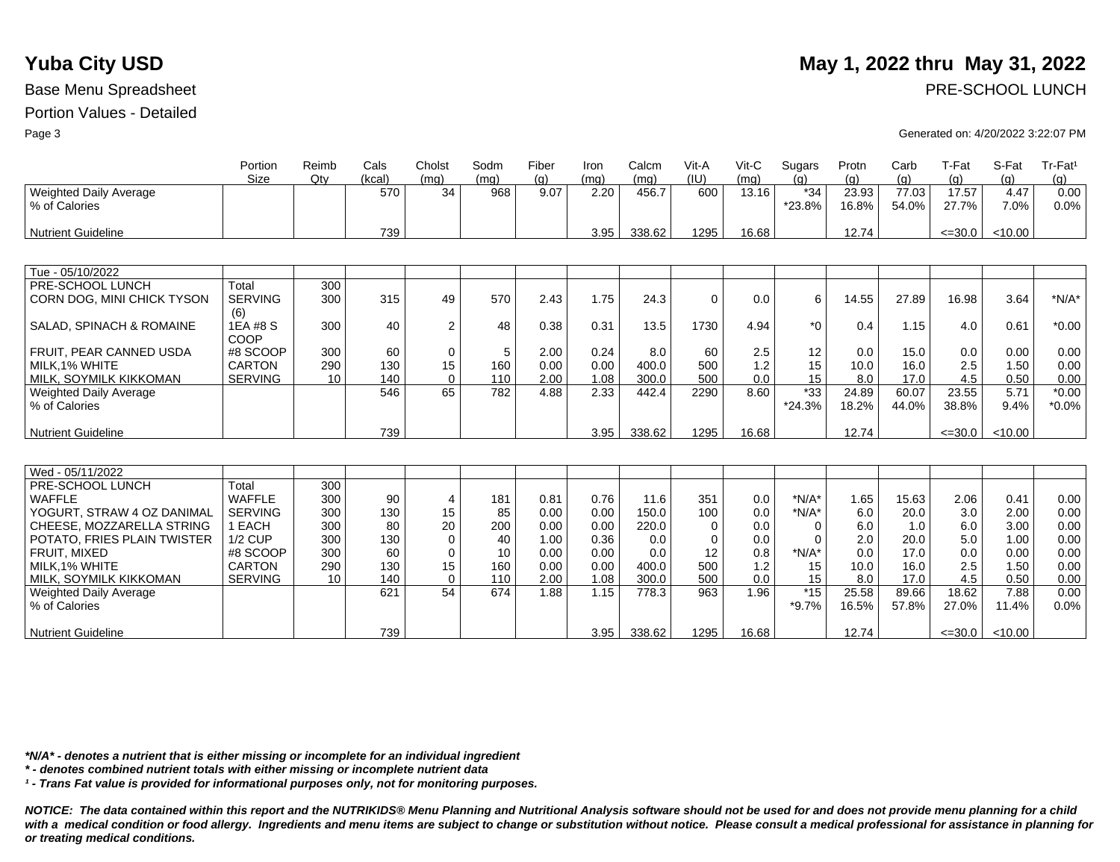|                                         | Portion<br>Size       | Reimb<br>Qtv | Cals<br>(kcal) | Cholst<br>(mq)          | Sodm<br>(mq) | Fiber<br>(q) | Iron<br>(mq) | Calcm<br>(mq) | Vit-A<br>(IU) | $V$ it-C<br>(mq) | Sugars<br>(q)   | Protn<br>(q)   | Carb<br>(q)    | T-Fat<br>(q)   | S-Fat<br>(q) | Tr-Fat <sup>1</sup><br>(q) |
|-----------------------------------------|-----------------------|--------------|----------------|-------------------------|--------------|--------------|--------------|---------------|---------------|------------------|-----------------|----------------|----------------|----------------|--------------|----------------------------|
| Weighted Daily Average<br>% of Calories |                       |              | 570            | 34                      | 968          | 9.07         | 2.20         | 456.7         | 600           | 13.16            | $*34$<br>*23.8% | 23.93<br>16.8% | 77.03<br>54.0% | 17.57<br>27.7% | 4.47<br>7.0% | 0.00<br>0.0%               |
| <b>Nutrient Guideline</b>               |                       |              | 739            |                         |              |              | 3.95         | 338.62        | 1295          | 16.68            |                 | 12.74          |                | $\leq 30.0$    | < 10.00      |                            |
|                                         |                       |              |                |                         |              |              |              |               |               |                  |                 |                |                |                |              |                            |
| Tue - 05/10/2022                        |                       |              |                |                         |              |              |              |               |               |                  |                 |                |                |                |              |                            |
| PRE-SCHOOL LUNCH                        | Total                 | 300          |                |                         |              |              |              |               |               |                  |                 |                |                |                |              |                            |
| CORN DOG, MINI CHICK TYSON              | <b>SERVING</b><br>(6) | 300          | 315            | 49                      | 570          | 2.43         | 1.75         | 24.3          | $\mathbf 0$   | 0.0              | 6               | 14.55          | 27.89          | 16.98          | 3.64         | $*N/A*$                    |
| SALAD, SPINACH & ROMAINE                | 1EA #8 S<br>COOP      | 300          | 40             | $\overline{\mathbf{c}}$ | 48           | 0.38         | 0.31         | 13.5          | 1730          | 4.94             | $*_{0}$         | 0.4            | 1.15           | 4.0            | 0.61         | $*0.00$                    |
| FRUIT, PEAR CANNED USDA                 | #8 SCOOP              | 300          | 60             | 0                       | 5            | 2.00         | 0.24         | 8.0           | 60            | 2.5              | 12              | 0.0            | 15.0           | 0.0            | 0.00         | 0.00                       |
| MILK, 1% WHITE                          | <b>CARTON</b>         | 290          | 130            | 15                      | 160          | 0.00         | 0.00         | 400.0         | 500           | 1.2              | 15              | 10.0           | 16.0           | 2.5            | 1.50         | 0.00                       |
| MILK, SOYMILK KIKKOMAN                  | <b>SERVING</b>        | 10           | 140            | $\Omega$                | 110          | 2.00         | 1.08         | 300.0         | 500           | 0.0              | 15              | 8.0            | 17.0           | 4.5            | 0.50         | 0.00                       |
| Weighted Daily Average                  |                       |              | 546            | 65                      | 782          | 4.88         | 2.33         | 442.4         | 2290          | 8.60             | $*33$           | 24.89          | 60.07          | 23.55          | 5.71         | $*0.00$                    |
| % of Calories                           |                       |              |                |                         |              |              |              |               |               |                  | $*24.3%$        | 18.2%          | 44.0%          | 38.8%          | 9.4%         | $*0.0\%$                   |
| <b>Nutrient Guideline</b>               |                       |              | 739            |                         |              |              | 3.95         | 338.62        | 1295          | 16.68            |                 | 12.74          |                | $\leq 30.0$    | < 10.00      |                            |
|                                         |                       |              |                |                         |              |              |              |               |               |                  |                 |                |                |                |              |                            |
| Wed - 05/11/2022                        |                       |              |                |                         |              |              |              |               |               |                  |                 |                |                |                |              |                            |
| PRE-SCHOOL LUNCH                        | Total                 | 300          |                |                         |              |              |              |               |               |                  |                 |                |                |                |              |                            |
| <b>WAFFLE</b>                           | <b>WAFFLE</b>         | 300          | 90             | 4                       | 181          | 0.81         | 0.76         | 11.6          | 351           | 0.0              | $*N/A*$         | 1.65           | 15.63          | 2.06           | 0.41         | 0.00                       |
| YOGURT, STRAW 4 OZ DANIMAL              | <b>SERVING</b>        | 300          | 130            | 15                      | 85           | 0.00         | 0.00         | 150.0         | 100           | 0.0              | $*N/A*$         | 6.0            | 20.0           | 3.0            | 2.00         | 0.00                       |
| CHEESE, MOZZARELLA STRING               | 1 EACH                | 300          | 80             | 20                      | 200          | 0.00         | 0.00         | 220.0         | 0             | 0.0              | $\mathbf 0$     | 6.0            | 1.0            | 6.0            | 3.00         | 0.00                       |
| POTATO, FRIES PLAIN TWISTER             | <b>1/2 CUP</b>        | 300          | 130            | 0                       | 40           | 1.00         | 0.36         | 0.0           | $\Omega$      | 0.0              | $\Omega$        | 2.0            | 20.0           | 5.0            | 1.00         | 0.00                       |
| FRUIT, MIXED                            | #8 SCOOP              | 300          | 60             | 0                       | 10           | 0.00         | 0.00         | 0.0           | 12            | 0.8              | $*N/A*$         | 0.0            | 17.0           | 0.0            | 0.00         | 0.00                       |
| MILK, 1% WHITE                          | <b>CARTON</b>         | 290          | 130            | 15                      | 160          | 0.00         | 0.00         | 400.0         | 500           | 1.2              | 15              | 10.0           | 16.0           | 2.5            | 1.50         | 0.00                       |
| MILK, SOYMILK KIKKOMAN                  | <b>SERVING</b>        | 10           | 140            | $\mathbf 0$             | 110          | 2.00         | 1.08         | 300.0         | 500           | 0.0              | 15              | 8.0            | 17.0           | 4.5            | 0.50         | 0.00                       |
| Weighted Daily Average                  |                       |              | 621            | 54                      | 674          | 1.88         | 1.15         | 778.3         | 963           | 1.96             | $*15$           | 25.58          | 89.66          | 18.62          | 7.88         | 0.00                       |
| % of Calories                           |                       |              |                |                         |              |              |              |               |               |                  | $*9.7\%$        | 16.5%          | 57.8%          | 27.0%          | 11.4%        | 0.0%                       |
| <b>Nutrient Guideline</b>               |                       |              | 739            |                         |              |              | 3.95         | 338.62        | 1295          | 16.68            |                 | 12.74          |                | $\leq 30.0$    | < 10.00      |                            |

*\*N/A\* - denotes a nutrient that is either missing or incomplete for an individual ingredient*

*\* - denotes combined nutrient totals with either missing or incomplete nutrient data*

*¹ - Trans Fat value is provided for informational purposes only, not for monitoring purposes.*

*NOTICE: The data contained within this report and the NUTRIKIDS® Menu Planning and Nutritional Analysis software should not be used for and does not provide menu planning for a child*  with a medical condition or food allergy. Ingredients and menu items are subject to change or substitution without notice. Please consult a medical professional for assistance in planning for *or treating medical conditions.*

# **Yuba City USD** May 1, 2022 thru May 31, 2022

Base Menu Spreadsheet **PRE-SCHOOL LUNCH** 

Page 3 Generated on: 4/20/2022 3:22:07 PM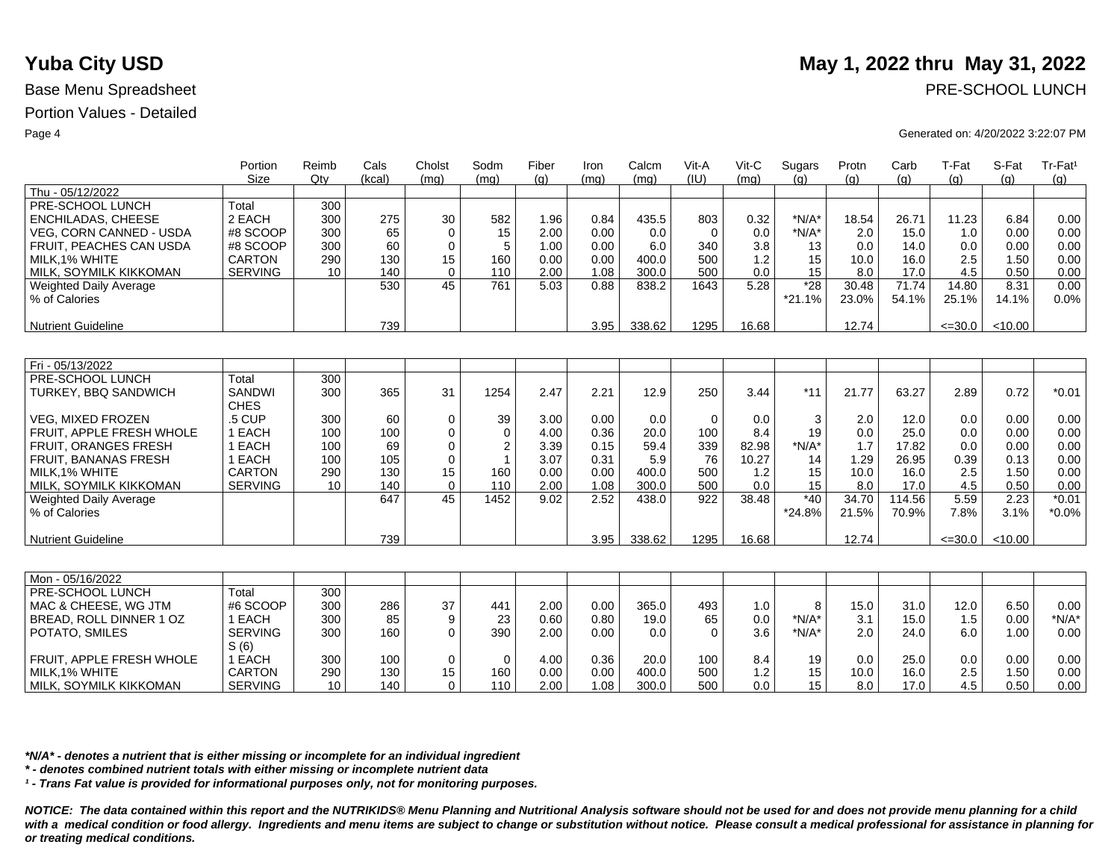|                                | Portion<br>Size              | Reimb<br>Qtv | Cals<br>(kcal) | Cholst      | Sodm<br>(mq) | Fiber | Iron<br>(ma) | Calcm<br>(mq) | Vit-A<br>(IU) | Vit-C<br>(mq) | Sugars   | Protn | Carb   | T-Fat       | S-Fat   | Tr-Fat <sup>1</sup> |
|--------------------------------|------------------------------|--------------|----------------|-------------|--------------|-------|--------------|---------------|---------------|---------------|----------|-------|--------|-------------|---------|---------------------|
| Thu - 05/12/2022               |                              |              |                | (mq)        |              | (q)   |              |               |               |               | (q)      | (q)   | (q)    | (q)         | (a)     | (q)                 |
| PRE-SCHOOL LUNCH               | Total                        | 300          |                |             |              |       |              |               |               |               |          |       |        |             |         |                     |
| <b>ENCHILADAS, CHEESE</b>      | 2 EACH                       | 300          | 275            | 30          | 582          | 1.96  | 0.84         | 435.5         | 803           | 0.32          | $*N/A*$  | 18.54 | 26.71  | 11.23       | 6.84    | 0.00                |
| <b>VEG. CORN CANNED - USDA</b> | #8 SCOOP                     | 300          | 65             | $\mathbf 0$ | 15           | 2.00  | 0.00         | 0.0           | $\mathbf 0$   | 0.0           | $*N/A*$  | 2.0   | 15.0   | 1.0         | 0.00    | 0.00                |
| FRUIT, PEACHES CAN USDA        | #8 SCOOP                     | 300          | 60             | $\mathbf 0$ | 5            | 1.00  | 0.00         | 6.0           | 340           | 3.8           | 13       | 0.0   | 14.0   | 0.0         | 0.00    | 0.00                |
| MILK.1% WHITE                  | CARTON                       | 290          | 130            | 15          | 160          | 0.00  | 0.00         | 400.0         | 500           | 1.2           | 15       | 10.0  | 16.0   | 2.5         | 1.50    | 0.00                |
| MILK, SOYMILK KIKKOMAN         | <b>SERVING</b>               | 10           | 140            | $\Omega$    | 110          | 2.00  | 1.08         | 300.0         | 500           | 0.0           | 15       | 8.0   | 17.0   | 4.5         | 0.50    | 0.00                |
| <b>Weighted Daily Average</b>  |                              |              | 530            | 45          | 761          | 5.03  | 0.88         | 838.2         | 1643          | 5.28          | $*28$    | 30.48 | 71.74  | 14.80       | 8.31    | 0.00                |
| % of Calories                  |                              |              |                |             |              |       |              |               |               |               |          |       | 54.1%  |             | 14.1%   |                     |
|                                |                              |              |                |             |              |       |              |               |               |               | $*21.1%$ | 23.0% |        | 25.1%       |         | 0.0%                |
| <b>Nutrient Guideline</b>      |                              |              | 739            |             |              |       | 3.95         | 338.62        | 1295          | 16.68         |          | 12.74 |        | $\leq 30.0$ | < 10.00 |                     |
|                                |                              |              |                |             |              |       |              |               |               |               |          |       |        |             |         |                     |
| Fri - 05/13/2022               |                              |              |                |             |              |       |              |               |               |               |          |       |        |             |         |                     |
| PRE-SCHOOL LUNCH               | Total                        | 300          |                |             |              |       |              |               |               |               |          |       |        |             |         |                     |
| TURKEY, BBQ SANDWICH           | <b>SANDWI</b><br><b>CHES</b> | 300          | 365            | 31          | 1254         | 2.47  | 2.21         | 12.9          | 250           | 3.44          | $*11$    | 21.77 | 63.27  | 2.89        | 0.72    | $*0.01$             |
| <b>VEG. MIXED FROZEN</b>       | .5 CUP                       | 300          | 60             | 0           | 39           | 3.00  | 0.00         | 0.0           | $\mathbf 0$   | 0.0           | 3        | 2.0   | 12.0   | 0.0         | 0.00    | 0.00                |
| FRUIT, APPLE FRESH WHOLE       | 1 EACH                       | 100          | 100            | 0           | 0            | 4.00  | 0.36         | 20.0          | 100           | 8.4           | 19       | 0.0   | 25.0   | 0.0         | 0.00    | 0.00                |
| <b>FRUIT, ORANGES FRESH</b>    | 1 EACH                       | 100          | 69             | $\mathbf 0$ | 2            | 3.39  | 0.15         | 59.4          | 339           | 82.98         | $*N/A*$  | 1.7   | 17.82  | 0.0         | 0.00    | 0.00                |
| <b>FRUIT, BANANAS FRESH</b>    | 1 EACH                       | 100          | 105            | $\mathbf 0$ | $\mathbf{1}$ | 3.07  | 0.31         | 5.9           | 76            | 10.27         | 14       | 1.29  | 26.95  | 0.39        | 0.13    | 0.00                |
| MILK, 1% WHITE                 | <b>CARTON</b>                | 290          | 130            | 15          | 160          | 0.00  | 0.00         | 400.0         | 500           | 1.2           | 15       | 10.0  | 16.0   | 2.5         | 1.50    | 0.00                |
| MILK, SOYMILK KIKKOMAN         | <b>SERVING</b>               | 10           | 140            | $\mathbf 0$ | 110          | 2.00  | 1.08         | 300.0         | 500           | 0.0           | 15       | 8.0   | 17.0   | 4.5         | 0.50    | 0.00                |
| <b>Weighted Daily Average</b>  |                              |              | 647            | 45          | 1452         | 9.02  | 2.52         | 438.0         | 922           | 38.48         | $*40$    | 34.70 | 114.56 | 5.59        | 2.23    | $*0.01$             |
| % of Calories                  |                              |              |                |             |              |       |              |               |               |               | $*24.8%$ | 21.5% | 70.9%  | 7.8%        | 3.1%    | $*0.0\%$            |
|                                |                              |              |                |             |              |       |              |               |               |               |          |       |        |             |         |                     |
| <b>Nutrient Guideline</b>      |                              |              | 739            |             |              |       | 3.95         | 338.62        | 1295          | 16.68         |          | 12.74 |        | $\leq 30.0$ | < 10.00 |                     |
|                                |                              |              |                |             |              |       |              |               |               |               |          |       |        |             |         |                     |
| Mon - 05/16/2022               |                              |              |                |             |              |       |              |               |               |               |          |       |        |             |         |                     |
| PRE-SCHOOL LUNCH               | Total                        | 300          |                |             |              |       |              |               |               |               |          |       |        |             |         |                     |
| MAC & CHEESE, WG JTM           | #6 SCOOP                     | 300          | 286            | 37          | 441          | 2.00  | 0.00         | 365.0         | 493           | 1.0           | 8        | 15.0  | 31.0   | 12.0        | 6.50    | 0.00                |
| BREAD, ROLL DINNER 1 OZ        | 1 EACH                       | 300          | 85             | 9           | 23           | 0.60  | 0.80         | 19.0          | 65            | 0.0           | $*N/A*$  | 3.1   | 15.0   | 1.5         | 0.00    | $*N/A*$             |
| POTATO, SMILES                 | <b>SERVING</b>               | 300          | 160            | $\mathbf 0$ | 390          | 2.00  | 0.00         | 0.0           | $\Omega$      | 3.6           | $*N/A*$  | 2.0   | 24.0   | 6.0         | 1.00    | 0.00                |
|                                | S(6)                         |              |                |             |              |       |              |               |               |               |          |       |        |             |         |                     |
| FRUIT, APPLE FRESH WHOLE       | 1 EACH                       | 300          | 100            | 0           | 0            | 4.00  | 0.36         | 20.0          | 100           | 8.4           | 19       | 0.0   | 25.0   | 0.0         | 0.00    | 0.00                |
| MILK.1% WHITE                  | <b>CARTON</b>                | 290          | 130            | 15          | 160          | 0.00  | 0.00         | 400.0         | 500           | 1.2           | 15       | 10.0  | 16.0   | 2.5         | 1.50    | 0.00                |
| MILK, SOYMILK KIKKOMAN         | <b>SERVING</b>               | 10           | 140            | $\Omega$    | 110          | 2.00  | 1.08         | 300.0         | 500           | 0.0           | 15       | 8.0   | 17.0   | 4.5         | 0.50    | 0.00                |

*\*N/A\* - denotes a nutrient that is either missing or incomplete for an individual ingredient*

*\* - denotes combined nutrient totals with either missing or incomplete nutrient data*

*¹ - Trans Fat value is provided for informational purposes only, not for monitoring purposes.*

*NOTICE: The data contained within this report and the NUTRIKIDS® Menu Planning and Nutritional Analysis software should not be used for and does not provide menu planning for a child*  with a medical condition or food allergy. Ingredients and menu items are subject to change or substitution without notice. Please consult a medical professional for assistance in planning for *or treating medical conditions.*

# **Yuba City USD** May 1, 2022 thru May 31, 2022

Base Menu Spreadsheet **PRE-SCHOOL LUNCH** 

### Page 4 Generated on: 4/20/2022 3:22:07 PM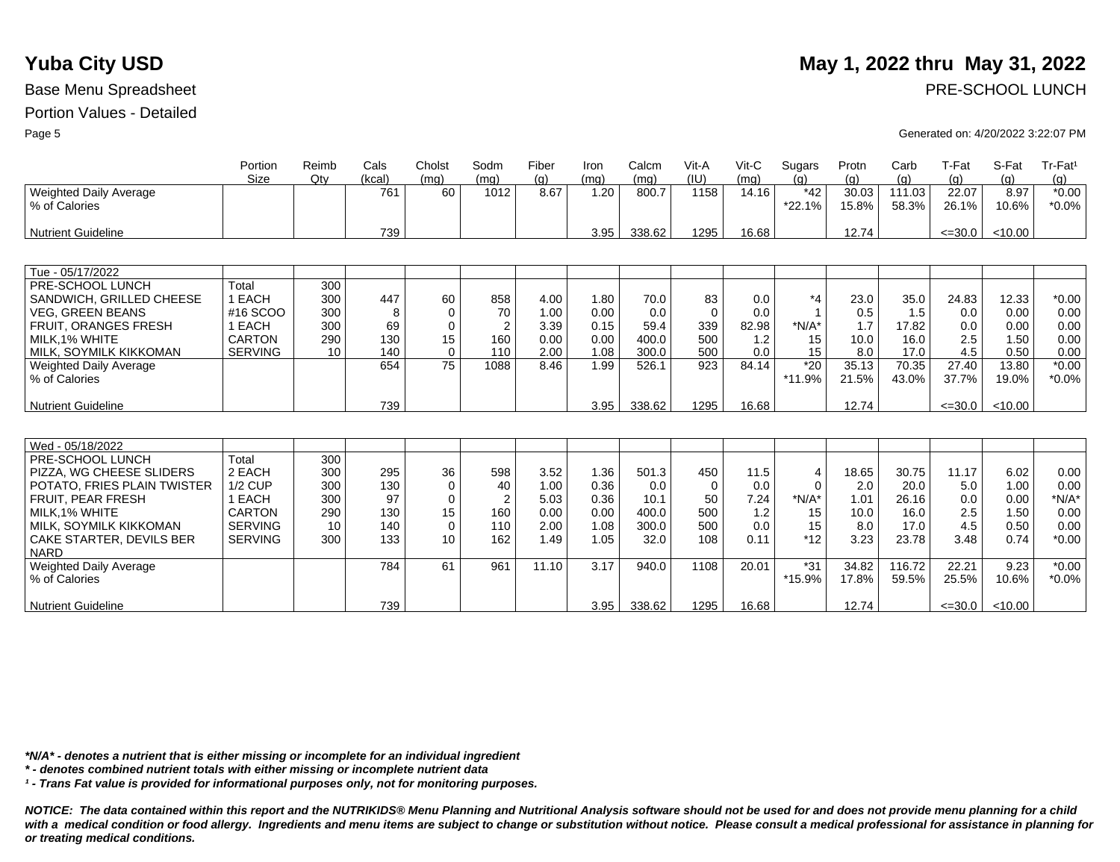# Portion Values - Detailed

|                                         | Portion        | Reimb | Cals   | Cholst   | Sodm | Fiber | Iron | Calcm  | Vit-A       | Vit-C | Sugars            | Protn          | Carb            | T-Fat          | S-Fat         | Tr-Fat <sup>1</sup> |
|-----------------------------------------|----------------|-------|--------|----------|------|-------|------|--------|-------------|-------|-------------------|----------------|-----------------|----------------|---------------|---------------------|
|                                         | <b>Size</b>    | Qty   | (kcal) | (mq)     | (mq) | (q)   | (mq) | (mq)   | (IU)        | (mq)  | (q)               | (q)            | (q)             | (q)            | (q)           | (g)                 |
| Weighted Daily Average<br>% of Calories |                |       | 761    | 60       | 1012 | 8.67  | 1.20 | 800.7  | 1158        | 14.16 | $*42$<br>$*22.1%$ | 30.03<br>15.8% | 111.03<br>58.3% | 22.07<br>26.1% | 8.97<br>10.6% | $*0.00$<br>$*0.0\%$ |
| <b>Nutrient Guideline</b>               |                |       | 739    |          |      |       | 3.95 | 338.62 | 1295        | 16.68 |                   | 12.74          |                 | $\leq 30.0$    | < 10.00       |                     |
|                                         |                |       |        |          |      |       |      |        |             |       |                   |                |                 |                |               |                     |
| Tue - 05/17/2022                        |                |       |        |          |      |       |      |        |             |       |                   |                |                 |                |               |                     |
| PRE-SCHOOL LUNCH                        | Total          | 300   |        |          |      |       |      |        |             |       |                   |                |                 |                |               |                     |
| SANDWICH, GRILLED CHEESE                | 1 EACH         | 300   | 447    | 60       | 858  | 4.00  | 1.80 | 70.0   | 83          | 0.0   | $*_{4}$           | 23.0           | 35.0            | 24.83          | 12.33         | $*0.00$             |
| <b>VEG. GREEN BEANS</b>                 | #16 SCOO       | 300   | 8      | $\Omega$ | 70   | 1.00  | 0.00 | 0.0    | $\mathbf 0$ | 0.0   |                   | 0.5            | 1.5             | 0.0            | 0.00          | 0.00                |
| FRUIT, ORANGES FRESH                    | 1 EACH         | 300   | 69     | $\Omega$ |      | 3.39  | 0.15 | 59.4   | 339         | 82.98 | $*N/A*$           | 1.7            | 17.82           | 0.0            | 0.00          | 0.00                |
| MILK.1% WHITE                           | <b>CARTON</b>  | 290   | 130    | 15       | 160  | 0.00  | 0.00 | 400.0  | 500         | 1.2   | 15                | 10.0           | 16.0            | 2.5            | 1.50          | 0.00                |
| MILK, SOYMILK KIKKOMAN                  | <b>SERVING</b> | 10    | 140    | $\Omega$ | 110  | 2.00  | 1.08 | 300.0  | 500         | 0.0   | 15                | 8.0            | 17.0            | 4.5            | 0.50          | 0.00                |
| <b>Weighted Daily Average</b>           |                |       | 654    | 75       | 1088 | 8.46  | 1.99 | 526.1  | 923         | 84.14 | $*20$             | 35.13          | 70.35           | 27.40          | 13.80         | $*0.00$             |
| % of Calories                           |                |       |        |          |      |       |      |        |             |       | *11.9%            | 21.5%          | 43.0%           | 37.7%          | 19.0%         | $*0.0\%$            |
| <b>Nutrient Guideline</b>               |                |       | 739    |          |      |       | 3.95 | 338.62 | 1295        | 16.68 |                   | 12.74          |                 | $\leq 30.0$    | < 10.00       |                     |
|                                         |                |       |        |          |      |       |      |        |             |       |                   |                |                 |                |               |                     |
| Wed - 05/18/2022                        |                |       |        |          |      |       |      |        |             |       |                   |                |                 |                |               |                     |
| PRE-SCHOOL LUNCH                        | Total          | 300   |        |          |      |       |      |        |             |       |                   |                |                 |                |               |                     |
| PIZZA, WG CHEESE SLIDERS                | 2 EACH         | 300   | 295    | 36       | 598  | 3.52  | 1.36 | 501.3  | 450         | 11.5  | 4                 | 18.65          | 30.75           | 11.17          | 6.02          | 0.00                |
| POTATO, FRIES PLAIN TWISTER             | $1/2$ CUP      | 300   | 130    | 0        | 40   | 1.00  | 0.36 | 0.0    | $\mathbf 0$ | 0.0   | 0                 | 2.0            | 20.0            | 5.0            | 1.00          | 0.00                |
| FRUIT, PEAR FRESH                       | 1 EACH         | 300   | 97     | $\Omega$ |      | 5.03  | 0.36 | 10.1   | 50          | 7.24  | $*N/A*$           | 1.01           | 26.16           | 0.0            | 0.00          | $*N/A*$             |
| MILK,1% WHITE                           | <b>CARTON</b>  | 290   | 130    | 15       | 160  | 0.00  | 0.00 | 400.0  | 500         | 1.2   | 15                | 10.0           | 16.0            | 2.5            | 1.50          | 0.00                |
| MILK, SOYMILK KIKKOMAN                  | <b>SERVING</b> | 10    | 140    | $\Omega$ | 110  | 2.00  | 1.08 | 300.0  | 500         | 0.0   | 15                | 8.0            | 17.0            | 4.5            | 0.50          | 0.00                |
| CAKE STARTER, DEVILS BER<br><b>NARD</b> | <b>SERVING</b> | 300   | 133    | 10       | 162  | 1.49  | 1.05 | 32.0   | 108         | 0.11  | $*12$             | 3.23           | 23.78           | 3.48           | 0.74          | $*0.00$             |
| Weighted Daily Average                  |                |       | 784    | 61       | 961  | 11.10 | 3.17 | 940.0  | 1108        | 20.01 | $*31$             | 34.82          | 116.72          | 22.21          | 9.23          | $*0.00$             |
| % of Calories                           |                |       |        |          |      |       |      |        |             |       | *15.9%            | 17.8%          | 59.5%           | 25.5%          | 10.6%         | $*0.0\%$            |
| Nutrient Guideline                      |                |       | 739    |          |      |       | 3.95 | 338.62 | 1295        | 16.68 |                   | 12.74          |                 | $\leq 30.0$    | < 10.00       |                     |

*\*N/A\* - denotes a nutrient that is either missing or incomplete for an individual ingredient*

*\* - denotes combined nutrient totals with either missing or incomplete nutrient data*

*¹ - Trans Fat value is provided for informational purposes only, not for monitoring purposes.*

*NOTICE: The data contained within this report and the NUTRIKIDS® Menu Planning and Nutritional Analysis software should not be used for and does not provide menu planning for a child*  with a medical condition or food allergy. Ingredients and menu items are subject to change or substitution without notice. Please consult a medical professional for assistance in planning for *or treating medical conditions.*

# **Yuba City USD** May 1, 2022 thru May 31, 2022

Page 5 Generated on: 4/20/2022 3:22:07 PM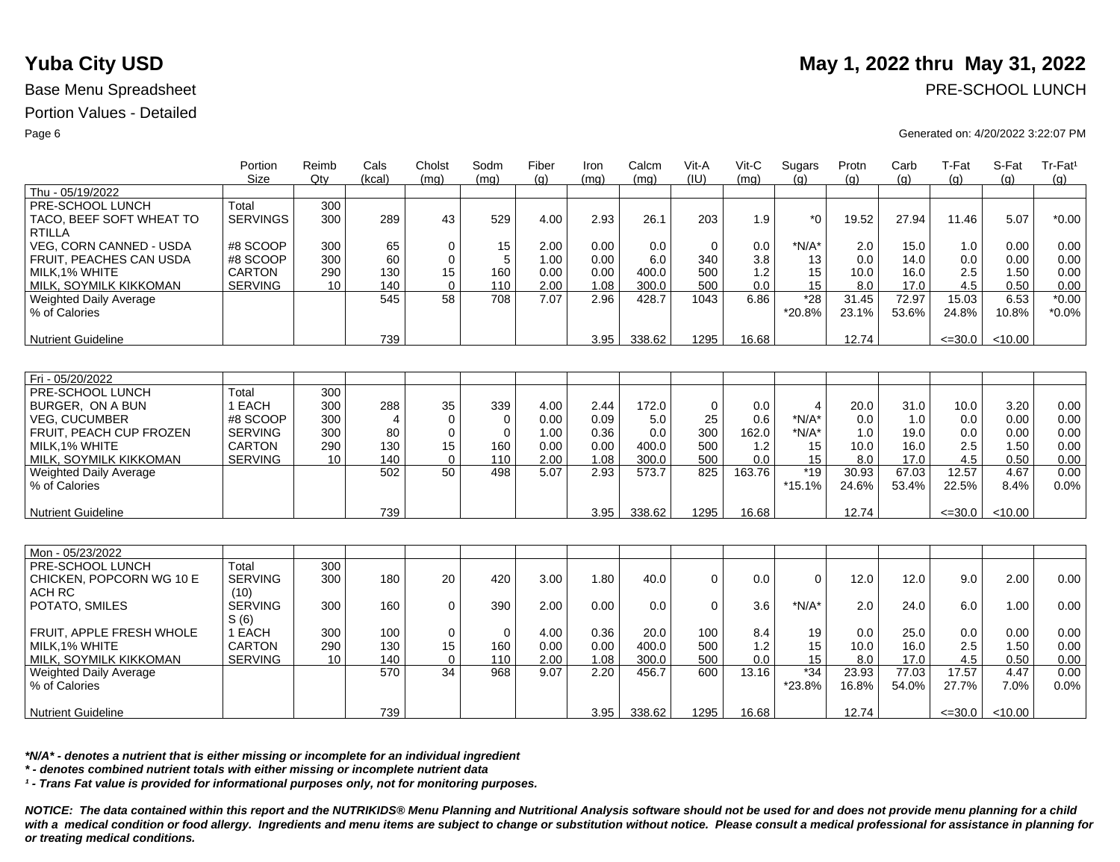### Portion Values - Detailed

|                                | Portion<br><b>Size</b> | Reimb<br>Qtv | Cals<br>(kcal) | Cholst<br>(mq) | Sodm<br>(mq) | Fiber<br>(q) | Iron<br>(mq) | Calcm<br>(mq) | Vit-A<br>(IU) | $V$ it-C<br>(mq) | Sugars<br>(q)           | Protn<br>(a) | Carb<br>(q) | T-Fat<br>(q) | S-Fat<br>(q) | Tr-Fat <sup>1</sup><br>(g) |
|--------------------------------|------------------------|--------------|----------------|----------------|--------------|--------------|--------------|---------------|---------------|------------------|-------------------------|--------------|-------------|--------------|--------------|----------------------------|
| Thu - 05/19/2022               |                        |              |                |                |              |              |              |               |               |                  |                         |              |             |              |              |                            |
| PRE-SCHOOL LUNCH               | Total                  | 300          |                |                |              |              |              |               |               |                  |                         |              |             |              |              |                            |
| TACO, BEEF SOFT WHEAT TO       | <b>SERVINGS</b>        | 300          | 289            | 43             | 529          | 4.00         | 2.93         | 26.1          | 203           | 1.9              | $*_{0}$                 | 19.52        | 27.94       | 11.46        | 5.07         | $*0.00$                    |
| <b>RTILLA</b>                  |                        |              |                |                |              |              |              |               |               |                  |                         |              |             |              |              |                            |
| <b>VEG. CORN CANNED - USDA</b> | #8 SCOOP               | 300          | 65             | $\mathbf 0$    | 15           | 2.00         | 0.00         | 0.0           | $\mathbf 0$   | 0.0              | $*N/A*$                 | 2.0          | 15.0        | 1.0          | 0.00         | 0.00                       |
| FRUIT, PEACHES CAN USDA        | #8 SCOOP               | 300          | 60             | $\Omega$       | 5            | 1.00         | 0.00         | 6.0           | 340           | 3.8              | 13                      | 0.0          | 14.0        | 0.0          | 0.00         | 0.00                       |
| MILK, 1% WHITE                 | <b>CARTON</b>          | 290          | 130            | 15             | 160          | 0.00         | 0.00         | 400.0         | 500           | 1.2              | 15                      | 10.0         | 16.0        | 2.5          | 1.50         | 0.00                       |
| MILK, SOYMILK KIKKOMAN         | <b>SERVING</b>         | 10           | 140            | $\Omega$       | 110          | 2.00         | 1.08         | 300.0         | 500           | 0.0              | 15                      | 8.0          | 17.0        | 4.5          | 0.50         | 0.00                       |
| <b>Weighted Daily Average</b>  |                        |              | 545            | 58             | 708          | 7.07         | 2.96         | 428.7         | 1043          | 6.86             | $*28$                   | 31.45        | 72.97       | 15.03        | 6.53         | $*0.00$                    |
| % of Calories                  |                        |              |                |                |              |              |              |               |               |                  | *20.8%                  | 23.1%        | 53.6%       | 24.8%        | 10.8%        | $*0.0\%$                   |
|                                |                        |              |                |                |              |              |              |               |               |                  |                         |              |             |              |              |                            |
| <b>Nutrient Guideline</b>      |                        |              | 739            |                |              |              | 3.95         | 338.62        | 1295          | 16.68            |                         | 12.74        |             | $\leq 30.0$  | < 10.00      |                            |
|                                |                        |              |                |                |              |              |              |               |               |                  |                         |              |             |              |              |                            |
| Fri - 05/20/2022               |                        |              |                |                |              |              |              |               |               |                  |                         |              |             |              |              |                            |
| PRE-SCHOOL LUNCH               | Total                  | 300          |                |                |              |              |              |               |               |                  |                         |              |             |              |              |                            |
| BURGER, ON A BUN               | 1 EACH                 | 300          | 288            | 35             | 339          | 4.00         | 2.44         | 172.0         | $\Omega$      | 0.0              | $\overline{\mathbf{4}}$ | 20.0         | 31.0        | 10.0         | 3.20         | 0.00                       |
| <b>VEG. CUCUMBER</b>           | #8 SCOOP               | 300          | $\overline{4}$ | $\mathbf 0$    | $\mathbf 0$  | 0.00         | 0.09         | 5.0           | 25            | 0.6              | $*N/A*$                 | 0.0          | 1.0         | 0.0          | 0.00         | 0.00                       |
| FRUIT, PEACH CUP FROZEN        | <b>SERVING</b>         | 300          | 80             | $\mathbf 0$    | $\mathbf 0$  | 1.00         | 0.36         | 0.0           | 300           | 162.0            | $*N/A*$                 | 1.0          | 19.0        | 0.0          | 0.00         | 0.00                       |
| MILK.1% WHITE                  | <b>CARTON</b>          | 290          | 130            | 15             | 160          | 0.00         | 0.00         | 400.0         | 500           | 1.2              | 15                      | 10.0         | 16.0        | 2.5          | 1.50         | 0.00                       |
| MILK, SOYMILK KIKKOMAN         | <b>SERVING</b>         | 10           | 140            | $\Omega$       | 110          | 2.00         | 1.08         | 300.0         | 500           | 0.0              | 15                      | 8.0          | 17.0        | 4.5          | 0.50         | 0.00                       |
| Weighted Daily Average         |                        |              | 502            | 50             | 498          | 5.07         | 2.93         | 573.7         | 825           | 163.76           | $*19$                   | 30.93        | 67.03       | 12.57        | 4.67         | 0.00                       |
| % of Calories                  |                        |              |                |                |              |              |              |               |               |                  | $*15.1%$                | 24.6%        | 53.4%       | 22.5%        | 8.4%         | 0.0%                       |
|                                |                        |              |                |                |              |              |              |               |               |                  |                         |              |             |              |              |                            |
| <b>Nutrient Guideline</b>      |                        |              | 739            |                |              |              | 3.95         | 338.62        | 1295          | 16.68            |                         | 12.74        |             | $\leq 30.0$  | < 10.00      |                            |
|                                |                        |              |                |                |              |              |              |               |               |                  |                         |              |             |              |              |                            |
| Mon - 05/23/2022               |                        |              |                |                |              |              |              |               |               |                  |                         |              |             |              |              |                            |
| PRE-SCHOOL LUNCH               | Total                  | 300          |                |                |              |              |              |               |               |                  |                         |              |             |              |              |                            |
| CHICKEN, POPCORN WG 10 E       | <b>SERVING</b>         | 300          | 180            | 20             | 420          | 3.00         | 1.80         | 40.0          | $\Omega$      | 0.0              | $\Omega$                | 12.0         | 12.0        | 9.0          | 2.00         | 0.00                       |
|                                |                        |              |                |                |              |              |              |               |               |                  |                         |              |             |              |              |                            |
| ACH RC                         | (10)                   |              |                |                |              |              |              |               |               |                  |                         |              |             |              |              |                            |
| POTATO, SMILES                 | <b>SERVING</b><br>S(6) | 300          | 160            | $\mathbf 0$    | 390          | 2.00         | 0.00         | 0.0           | $\Omega$      | 3.6              | $*N/A*$                 | 2.0          | 24.0        | 6.0          | 1.00         | 0.00                       |
| FRUIT, APPLE FRESH WHOLE       | 1 EACH                 | 300          | 100            | $\mathbf 0$    | $\mathbf 0$  | 4.00         | 0.36         | 20.0          | 100           | 8.4              | 19                      | 0.0          | 25.0        | 0.0          | 0.00         | 0.00                       |
| MILK.1% WHITE                  | <b>CARTON</b>          | 290          | 130            | 15             | 160          | 0.00         | 0.00         | 400.0         | 500           | 1.2              | 15                      | 10.0         | 16.0        | 2.5          | 1.50         | 0.00                       |
| MILK, SOYMILK KIKKOMAN         | <b>SERVING</b>         | 10           | 140            | $\mathbf 0$    | 110          | 2.00         | 1.08         | 300.0         | 500           | 0.0              | 15                      | 8.0          | 17.0        | 4.5          | 0.50         | 0.00                       |
| <b>Weighted Daily Average</b>  |                        |              | 570            | 34             | 968          | 9.07         | 2.20         | 456.7         | 600           | 13.16            | $*34$                   | 23.93        | 77.03       | 17.57        | 4.47         | 0.00                       |
| % of Calories                  |                        |              |                |                |              |              |              |               |               |                  | *23.8%                  | 16.8%        | 54.0%       | 27.7%        | 7.0%         | 0.0%                       |
|                                |                        |              |                |                |              |              |              |               |               |                  |                         |              |             |              |              |                            |
| <b>Nutrient Guideline</b>      |                        |              | 739            |                |              |              | 3.95         | 338.62        | 1295          | 16.68            |                         | 12.74        |             | $\leq$ =30.0 | < 10.00      |                            |

*\*N/A\* - denotes a nutrient that is either missing or incomplete for an individual ingredient*

*\* - denotes combined nutrient totals with either missing or incomplete nutrient data*

*¹ - Trans Fat value is provided for informational purposes only, not for monitoring purposes.*

*NOTICE: The data contained within this report and the NUTRIKIDS® Menu Planning and Nutritional Analysis software should not be used for and does not provide menu planning for a child*  with a medical condition or food allergy. Ingredients and menu items are subject to change or substitution without notice. Please consult a medical professional for assistance in planning for *or treating medical conditions.*

# **Yuba City USD** May 1, 2022 thru May 31, 2022

### Page 6 Generated on: 4/20/2022 3:22:07 PM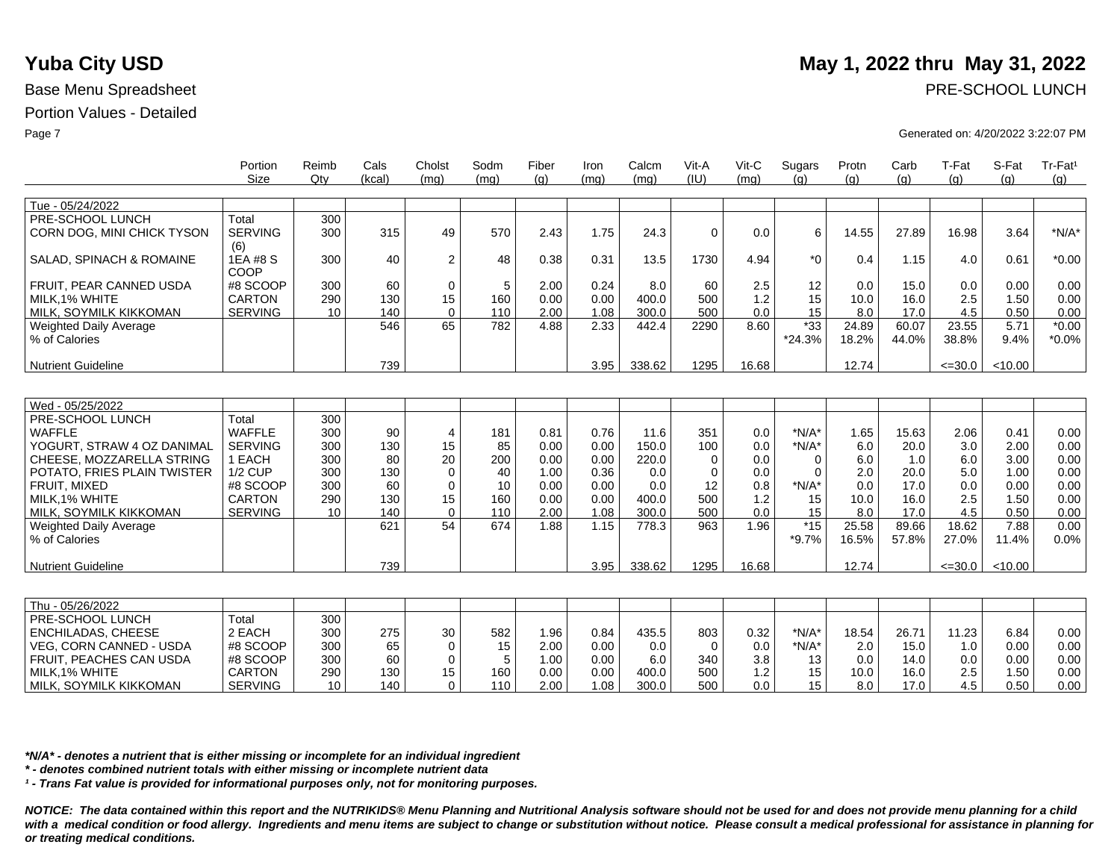|                                | Portion<br><b>Size</b> | Reimb<br>Qtv | Cals<br>(kcal) | Cholst<br>(mq) | Sodm<br>(mq) | Fiber<br>(q) | Iron<br>(mq) | Calcm<br>(mq) | Vit-A<br>(IU) | Vit-C<br>(mq) | Sugars<br>(q) | Protn<br>(q) | Carb<br>(g) | T-Fat<br>(q) | S-Fat<br>(q) | Tr-Fat <sup>1</sup><br>(q) |
|--------------------------------|------------------------|--------------|----------------|----------------|--------------|--------------|--------------|---------------|---------------|---------------|---------------|--------------|-------------|--------------|--------------|----------------------------|
|                                |                        |              |                |                |              |              |              |               |               |               |               |              |             |              |              |                            |
| Tue - 05/24/2022               |                        |              |                |                |              |              |              |               |               |               |               |              |             |              |              |                            |
| PRE-SCHOOL LUNCH               | Total                  | 300          |                |                |              |              |              |               |               |               |               |              |             |              |              |                            |
| CORN DOG, MINI CHICK TYSON     | <b>SERVING</b>         | 300          | 315            | 49             | 570          | 2.43         | 1.75         | 24.3          | $\mathbf 0$   | 0.0           | 6             | 14.55        | 27.89       | 16.98        | 3.64         | $*N/A*$                    |
|                                | (6)                    |              |                |                |              |              |              |               |               |               |               |              |             |              |              |                            |
| SALAD, SPINACH & ROMAINE       | 1EA #8 S<br>COOP       | 300          | 40             | $\overline{2}$ | 48           | 0.38         | 0.31         | 13.5          | 1730          | 4.94          | $*_{0}$       | 0.4          | 1.15        | 4.0          | 0.61         | $*0.00$                    |
| FRUIT, PEAR CANNED USDA        | #8 SCOOP               | 300          | 60             | 0              | 5            | 2.00         | 0.24         | 8.0           | 60            | 2.5           | 12            | 0.0          | 15.0        | 0.0          | 0.00         | 0.00                       |
| MILK.1% WHITE                  | <b>CARTON</b>          | 290          | 130            | 15             | 160          | 0.00         | 0.00         | 400.0         | 500           | 1.2           | 15            | 10.0         | 16.0        | 2.5          | 1.50         | 0.00                       |
| MILK, SOYMILK KIKKOMAN         | <b>SERVING</b>         | 10           | 140            | $\Omega$       | 110          | 2.00         | 1.08         | 300.0         | 500           | 0.0           | 15            | 8.0          | 17.0        | 4.5          | 0.50         | 0.00                       |
| <b>Weighted Daily Average</b>  |                        |              | 546            | 65             | 782          | 4.88         | 2.33         | 442.4         | 2290          | 8.60          | $*33$         | 24.89        | 60.07       | 23.55        | 5.71         | $*0.00$                    |
| % of Calories                  |                        |              |                |                |              |              |              |               |               |               | $*24.3%$      | 18.2%        | 44.0%       | 38.8%        | 9.4%         | $*0.0\%$                   |
|                                |                        |              |                |                |              |              |              |               |               |               |               |              |             |              |              |                            |
| <b>Nutrient Guideline</b>      |                        |              | 739            |                |              |              | 3.95         | 338.62        | 1295          | 16.68         |               | 12.74        |             | $\leq 30.0$  | < 10.00      |                            |
|                                |                        |              |                |                |              |              |              |               |               |               |               |              |             |              |              |                            |
|                                |                        |              |                |                |              |              |              |               |               |               |               |              |             |              |              |                            |
| Wed - 05/25/2022               |                        |              |                |                |              |              |              |               |               |               |               |              |             |              |              |                            |
| PRE-SCHOOL LUNCH               | Total                  | 300          |                |                |              |              |              |               |               |               |               |              |             |              |              |                            |
| <b>WAFFLE</b>                  | <b>WAFFLE</b>          | 300          | 90             | $\overline{4}$ | 181          | 0.81         | 0.76         | 11.6          | 351           | 0.0           | $*N/A*$       | 1.65         | 15.63       | 2.06         | 0.41         | 0.00                       |
| YOGURT, STRAW 4 OZ DANIMAL     | <b>SERVING</b>         | 300          | 130            | 15             | 85           | 0.00         | 0.00         | 150.0         | 100           | 0.0           | $*N/A*$       | 6.0          | 20.0        | 3.0          | 2.00         | 0.00                       |
| CHEESE, MOZZARELLA STRING      | 1 EACH                 | 300          | 80             | 20             | 200          | 0.00         | 0.00         | 220.0         | 0             | 0.0           | $\Omega$      | 6.0          | 1.0         | 6.0          | 3.00         | 0.00                       |
| POTATO, FRIES PLAIN TWISTER    | <b>1/2 CUP</b>         | 300          | 130            | $\Omega$       | 40           | 1.00         | 0.36         | 0.0           | 0             | 0.0           | $\Omega$      | 2.0          | 20.0        | 5.0          | 1.00         | 0.00                       |
| FRUIT, MIXED                   | #8 SCOOP               | 300          | 60             | $\Omega$       | 10           | 0.00         | 0.00         | 0.0           | 12            | 0.8           | $*N/A*$       | 0.0          | 17.0        | 0.0          | 0.00         | 0.00                       |
| MILK.1% WHITE                  | <b>CARTON</b>          | 290          | 130            | 15             | 160          | 0.00         | 0.00         | 400.0         | 500           | 1.2           | 15            | 10.0         | 16.0        | 2.5          | 1.50         | 0.00                       |
| MILK, SOYMILK KIKKOMAN         | <b>SERVING</b>         | 10           | 140            | $\Omega$       | 110          | 2.00         | 1.08         | 300.0         | 500           | 0.0           | 15            | 8.0          | 17.0        | 4.5          | 0.50         | 0.00                       |
| Weighted Daily Average         |                        |              | 621            | 54             | 674          | 1.88         | 1.15         | 778.3         | 963           | 1.96          | $*15$         | 25.58        | 89.66       | 18.62        | 7.88         | 0.00                       |
| % of Calories                  |                        |              |                |                |              |              |              |               |               |               | $*9.7\%$      | 16.5%        | 57.8%       | 27.0%        | 11.4%        | 0.0%                       |
|                                |                        |              |                |                |              |              |              |               |               |               |               |              |             |              |              |                            |
| <b>Nutrient Guideline</b>      |                        |              | 739            |                |              |              | 3.95         | 338.62        | 1295          | 16.68         |               | 12.74        |             | $\leq 30.0$  | < 10.00      |                            |
|                                |                        |              |                |                |              |              |              |               |               |               |               |              |             |              |              |                            |
| Thu - 05/26/2022               |                        |              |                |                |              |              |              |               |               |               |               |              |             |              |              |                            |
| PRE-SCHOOL LUNCH               | Total                  | 300          |                |                |              |              |              |               |               |               |               |              |             |              |              |                            |
| ENCHILADAS, CHEESE             | 2 EACH                 | 300          | 275            | 30             | 582          | 1.96         | 0.84         | 435.5         | 803           | 0.32          | $*N/A*$       | 18.54        | 26.71       | 11.23        | 6.84         | 0.00                       |
| <b>VEG. CORN CANNED - USDA</b> | #8 SCOOP               | 300          | 65             | $\Omega$       | 15           | 2.00         | 0.00         | 0.0           | $\Omega$      | 0.0           | $*N/A*$       | 2.0          | 15.0        | 1.0          | 0.00         | 0.00                       |
| FRUIT, PEACHES CAN USDA        | #8 SCOOP               | 300          | 60             | $\mathbf 0$    | 5            | 1.00         | 0.00         | 6.0           | 340           | 3.8           | 13            | 0.0          | 14.0        | 0.0          | 0.00         | 0.00                       |
| MILK.1% WHITE                  | <b>CARTON</b>          | 290          | 130            | 15             | 160          | 0.00         | 0.00         | 400.0         | 500           | 1.2           | 15            | 10.0         | 16.0        | 2.5          | 1.50         | 0.00                       |
| MILK, SOYMILK KIKKOMAN         | <b>SERVING</b>         | 10           | 140            | $\Omega$       | 110          | 2.00         | 1.08         | 300.0         | 500           | 0.0           | 15            | 8.0          | 17.0        | 4.5          | 0.50         | 0.00                       |

*\*N/A\* - denotes a nutrient that is either missing or incomplete for an individual ingredient*

*\* - denotes combined nutrient totals with either missing or incomplete nutrient data*

*¹ - Trans Fat value is provided for informational purposes only, not for monitoring purposes.*

*NOTICE: The data contained within this report and the NUTRIKIDS® Menu Planning and Nutritional Analysis software should not be used for and does not provide menu planning for a child*  with a medical condition or food allergy. Ingredients and menu items are subject to change or substitution without notice. Please consult a medical professional for assistance in planning for *or treating medical conditions.*

# **Yuba City USD** May 1, 2022 thru May 31, 2022

Base Menu Spreadsheet **PRE-SCHOOL LUNCH** 

Page 7 Generated on: 4/20/2022 3:22:07 PM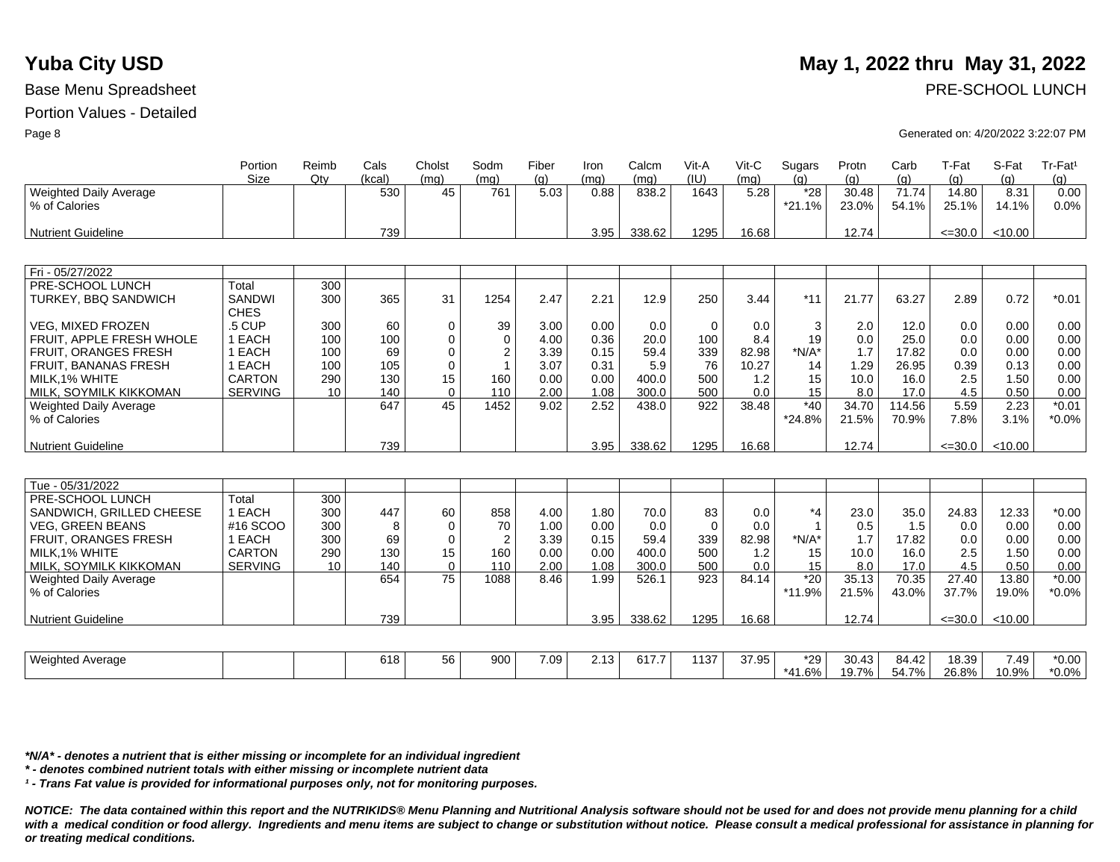### Portion Values - Detailed

|                                                | Portion<br>Size              | Reimb<br>Qtv    | Cals<br>(kcal) | Cholst<br>(ma) | Sodm<br>(mq)   | Fiber<br>(q) | Iron<br>(mq) | Calcm<br>(mq) | Vit-A<br>(IU) | $V$ it-C<br>(mg) | Sugars<br>(a)     | Protn<br>(q)   | Carb<br>(q)    | T-Fat<br>(q)   | S-Fat<br>(q)  | Tr-Fat <sup>1</sup><br>(q) |
|------------------------------------------------|------------------------------|-----------------|----------------|----------------|----------------|--------------|--------------|---------------|---------------|------------------|-------------------|----------------|----------------|----------------|---------------|----------------------------|
| <b>Weighted Daily Average</b><br>% of Calories |                              |                 | 530            | 45             | 761            | 5.03         | 0.88         | 838.2         | 1643          | 5.28             | $*28$<br>$*21.1%$ | 30.48<br>23.0% | 71.74<br>54.1% | 14.80<br>25.1% | 8.31<br>14.1% | 0.00<br>0.0%               |
| Nutrient Guideline                             |                              |                 | 739            |                |                |              | 3.95         | 338.62        | 1295          | 16.68            |                   | 12.74          |                | $\leq$ =30.0   | < 10.00       |                            |
|                                                |                              |                 |                |                |                |              |              |               |               |                  |                   |                |                |                |               |                            |
| Fri - 05/27/2022                               |                              |                 |                |                |                |              |              |               |               |                  |                   |                |                |                |               |                            |
| PRE-SCHOOL LUNCH                               | Total                        | 300             |                |                |                |              |              |               |               |                  |                   |                |                |                |               |                            |
| <b>TURKEY, BBQ SANDWICH</b>                    | <b>SANDWI</b><br><b>CHES</b> | 300             | 365            | 31             | 1254           | 2.47         | 2.21         | 12.9          | 250           | 3.44             | $*11$             | 21.77          | 63.27          | 2.89           | 0.72          | $*0.01$                    |
| <b>VEG. MIXED FROZEN</b>                       | .5 CUP                       | 300             | 60             | $\mathbf 0$    | 39             | 3.00         | 0.00         | 0.0           | $\Omega$      | 0.0              | 3                 | 2.0            | 12.0           | 0.0            | 0.00          | 0.00                       |
| FRUIT, APPLE FRESH WHOLE                       | 1 EACH                       | 100             | 100            | $\Omega$       | $\Omega$       | 4.00         | 0.36         | 20.0          | 100           | 8.4              | 19                | 0.0            | 25.0           | 0.0            | 0.00          | 0.00                       |
| <b>FRUIT, ORANGES FRESH</b>                    | 1 EACH                       | 100             | 69             | $\mathbf 0$    | $\overline{2}$ | 3.39         | 0.15         | 59.4          | 339           | 82.98            | $*N/A*$           | 1.7            | 17.82          | 0.0            | 0.00          | 0.00                       |
| <b>FRUIT, BANANAS FRESH</b>                    | 1 EACH                       | 100             | 105            | $\mathbf 0$    | $\mathbf{1}$   | 3.07         | 0.31         | 5.9           | 76            | 10.27            | 14                | 1.29           | 26.95          | 0.39           | 0.13          | 0.00                       |
| MILK.1% WHITE                                  | <b>CARTON</b>                | 290             | 130            | 15             | 160            | 0.00         | 0.00         | 400.0         | 500           | 1.2              | 15                | 10.0           | 16.0           | 2.5            | 1.50          | 0.00                       |
| MILK, SOYMILK KIKKOMAN                         | <b>SERVING</b>               | 10 <sup>1</sup> | 140            | $\Omega$       | 110            | 2.00         | 1.08         | 300.0         | 500           | 0.0              | 15                | 8.0            | 17.0           | 4.5            | 0.50          | 0.00                       |
| <b>Weighted Daily Average</b>                  |                              |                 | 647            | 45             | 1452           | 9.02         | 2.52         | 438.0         | 922           | 38.48            | $*40$             | 34.70          | 114.56         | 5.59           | 2.23          | $*0.01$                    |
| % of Calories                                  |                              |                 |                |                |                |              |              |               |               |                  | *24.8%            | 21.5%          | 70.9%          | 7.8%           | 3.1%          | $*0.0\%$                   |
| Nutrient Guideline                             |                              |                 | 739            |                |                |              | 3.95         | 338.62        | 1295          | 16.68            |                   | 12.74          |                | $\leq 30.0$    | < 10.00       |                            |
|                                                |                              |                 |                |                |                |              |              |               |               |                  |                   |                |                |                |               |                            |
| Tue - 05/31/2022                               |                              |                 |                |                |                |              |              |               |               |                  |                   |                |                |                |               |                            |
| PRE-SCHOOL LUNCH                               | Total                        | 300             |                |                |                |              |              |               |               |                  |                   |                |                |                |               |                            |
| SANDWICH, GRILLED CHEESE                       | 1 EACH                       | 300             | 447            | 60             | 858            | 4.00         | 1.80         | 70.0          | 83            | 0.0              | $*_{4}$           | 23.0           | 35.0           | 24.83          | 12.33         | $*0.00$                    |
| <b>VEG. GREEN BEANS</b>                        | #16 SCOO                     | 300             | 8              | $\mathbf 0$    | 70             | 1.00         | 0.00         | 0.0           | $\Omega$      | 0.0              | $\overline{1}$    | 0.5            | 1.5            | 0.0            | 0.00          | 0.00                       |
| FRUIT, ORANGES FRESH                           | 1 EACH                       | 300             | 69             | $\mathbf 0$    | $\overline{2}$ | 3.39         | 0.15         | 59.4          | 339           | 82.98            | $*N/A*$           | 1.7            | 17.82          | 0.0            | 0.00          | 0.00                       |
| MILK.1% WHITE                                  | CARTON                       | 290             | 130            | 15             | 160            | 0.00         | 0.00         | 400.0         | 500           | 1.2              | 15                | 10.0           | 16.0           | 2.5            | 1.50          | 0.00                       |
| MILK, SOYMILK KIKKOMAN                         | <b>SERVING</b>               | 10              | 140            | $\mathbf 0$    | 110            | 2.00         | 1.08         | 300.0         | 500           | 0.0              | 15                | 8.0            | 17.0           | 4.5            | 0.50          | 0.00                       |
| <b>Weighted Daily Average</b>                  |                              |                 | 654            | 75             | 1088           | 8.46         | 1.99         | 526.1         | 923           | 84.14            | $*20$             | 35.13          | 70.35          | 27.40          | 13.80         | $*0.00$                    |
| % of Calories                                  |                              |                 |                |                |                |              |              |               |               |                  | *11.9%            | 21.5%          | 43.0%          | 37.7%          | 19.0%         | $*0.0\%$                   |
| <b>Nutrient Guideline</b>                      |                              |                 | 739            |                |                |              | 3.95         | 338.62        | 1295          | 16.68            |                   | 12.74          |                | $\leq 30.0$    | < 10.00       |                            |
|                                                |                              |                 |                |                |                |              |              |               |               |                  |                   |                |                |                |               |                            |
| <b>Weighted Average</b>                        |                              |                 | 618            | 56             | 900            | 7.09         | 2.13         | 617.7         | 1137          | 37.95            | $*29$             | 30.43          | 84.42          | 18.39          | 7.49          | $*0.00$                    |
|                                                |                              |                 |                |                |                |              |              |               |               |                  | *41.6%            | 19.7%          | 54.7%          | 26.8%          | 10.9%         | $*0.0\%$                   |

*\*N/A\* - denotes a nutrient that is either missing or incomplete for an individual ingredient*

*\* - denotes combined nutrient totals with either missing or incomplete nutrient data*

*¹ - Trans Fat value is provided for informational purposes only, not for monitoring purposes.*

*NOTICE: The data contained within this report and the NUTRIKIDS® Menu Planning and Nutritional Analysis software should not be used for and does not provide menu planning for a child*  with a medical condition or food allergy. Ingredients and menu items are subject to change or substitution without notice. Please consult a medical professional for assistance in planning for *or treating medical conditions.*

# **Yuba City USD** May 1, 2022 thru May 31, 2022

Page 8 Generated on: 4/20/2022 3:22:07 PM